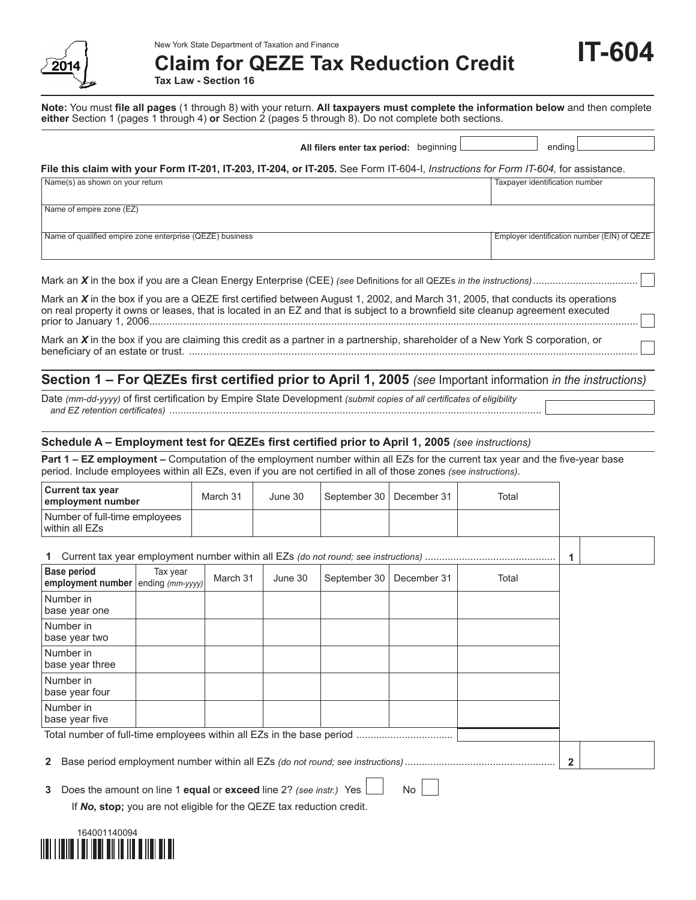

New York State Department of Taxation and Finance

**Claim for QEZE Tax Reduction Credit**

**Tax Law - Section 16**

**Note:** You must **file all pages** (1 through 8) with your return. **All taxpayers must complete the information below** and then complete **either** Section 1 (pages 1 through 4) **or** Section 2 (pages 5 through 8). Do not complete both sections.

**IT-604**

| All filers enter tax period: beginning                                                                                                                                                                                                                              | ending                                       |
|---------------------------------------------------------------------------------------------------------------------------------------------------------------------------------------------------------------------------------------------------------------------|----------------------------------------------|
| File this claim with your Form IT-201, IT-203, IT-204, or IT-205. See Form IT-604-I, Instructions for Form IT-604, for assistance.                                                                                                                                  |                                              |
| Name(s) as shown on your return                                                                                                                                                                                                                                     | Taxpayer identification number               |
| Name of empire zone (EZ)                                                                                                                                                                                                                                            |                                              |
| Name of qualified empire zone enterprise (QEZE) business                                                                                                                                                                                                            | Employer identification number (EIN) of QEZE |
|                                                                                                                                                                                                                                                                     |                                              |
| Mark an X in the box if you are a QEZE first certified between August 1, 2002, and March 31, 2005, that conducts its operations<br>on real property it owns or leases, that is located in an EZ and that is subject to a brownfield site cleanup agreement executed |                                              |
| Mark an $X$ in the box if you are claiming this credit as a partner in a partnership, shareholder of a New York S corporation, or                                                                                                                                   |                                              |

# **Section 1 – For QEZEs first certified prior to April 1, 2005** *(see* Important information *in the instructions)*

Date *(mm-dd-yyyy)* of first certification by Empire State Development *(submit copies of all certificates of eligibility and EZ retention certificates)* ...................................................................................................................................

### **Schedule A – Employment test for QEZEs first certified prior to April 1, 2005** *(see instructions)*

**Part 1 – EZ employment –** Computation of the employment number within all EZs for the current tax year and the five-year base period. Include employees within all EZs, even if you are not certified in all of those zones *(see instructions)*.

| <b>Current tax year</b><br>employment number                         |          | March 31 | June 30 | September 30 | December 31  | Total |  |  |
|----------------------------------------------------------------------|----------|----------|---------|--------------|--------------|-------|--|--|
| Number of full-time employees<br>within all EZs                      |          |          |         |              |              |       |  |  |
|                                                                      |          |          |         |              |              |       |  |  |
| <b>Base period</b><br>employment number $ $ ending $(mm-yyyy)$       | Tax year | March 31 | June 30 | September 30 | December 31  | Total |  |  |
| Number in<br>base year one                                           |          |          |         |              |              |       |  |  |
| Number in<br>base year two                                           |          |          |         |              |              |       |  |  |
| Number in<br>base year three                                         |          |          |         |              |              |       |  |  |
| Number in<br>base year four                                          |          |          |         |              |              |       |  |  |
| Number in<br>base year five                                          |          |          |         |              |              |       |  |  |
|                                                                      |          |          |         |              |              |       |  |  |
| 2                                                                    |          |          |         |              |              |       |  |  |
| 2 Dogs the amount on line 1 equal or exceed line 22 (eqs instr.) Voc |          |          |         |              | $N_{\alpha}$ |       |  |  |

Does the amount on line 1 **equal** or **exceed** line 2? *(see instr.)* Yes  $\Box$  No  $\Box$ 

If *No***, stop;** you are not eligible for the QEZE tax reduction credit.

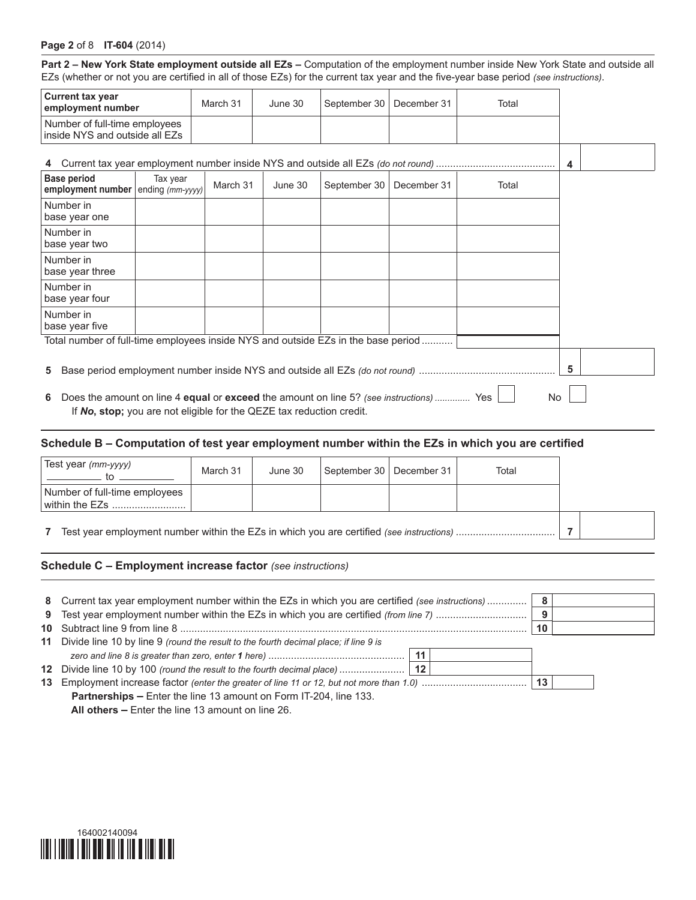### **Page 2** of 8 **IT-604** (2014)

**Part 2 – New York State employment outside all EZs –** Computation of the employment number inside New York State and outside all EZs (whether or not you are certified in all of those EZs) for the current tax year and the five-year base period *(see instructions)*.

| <b>Current tax year</b><br>employment number                    |        |          | March 31 | June 30                                                                                 | September 30                                                                            | December 31 | Total                                                                                                |   |
|-----------------------------------------------------------------|--------|----------|----------|-----------------------------------------------------------------------------------------|-----------------------------------------------------------------------------------------|-------------|------------------------------------------------------------------------------------------------------|---|
| Number of full-time employees<br>inside NYS and outside all EZs |        |          |          |                                                                                         |                                                                                         |             |                                                                                                      |   |
|                                                                 |        |          |          |                                                                                         |                                                                                         |             |                                                                                                      | 4 |
| <b>Base period</b><br>employment number ending $(mm-yyyy)$      |        | Tax year | March 31 | June 30                                                                                 | September 30                                                                            | December 31 | Total                                                                                                |   |
| Number in<br>base year one                                      |        |          |          |                                                                                         |                                                                                         |             |                                                                                                      |   |
| Number in<br>base year two                                      |        |          |          |                                                                                         |                                                                                         |             |                                                                                                      |   |
| Number in<br>base year three                                    |        |          |          |                                                                                         |                                                                                         |             |                                                                                                      |   |
| Number in<br>base year four                                     |        |          |          |                                                                                         |                                                                                         |             |                                                                                                      |   |
| Number in<br>base year five                                     |        |          |          |                                                                                         |                                                                                         |             |                                                                                                      |   |
|                                                                 |        |          |          |                                                                                         | Total number of full-time employees inside NYS and outside EZs in the base period       |             |                                                                                                      |   |
| 5.                                                              |        |          |          |                                                                                         |                                                                                         |             |                                                                                                      | 5 |
| 6.                                                              |        |          |          | If No, stop; you are not eligible for the QEZE tax reduction credit.                    | Does the amount on line 4 equal or exceed the amount on line 5? (see instructions)  Yes |             | No                                                                                                   |   |
|                                                                 |        |          |          |                                                                                         |                                                                                         |             | Schedule B - Computation of test year employment number within the EZs in which you are certified    |   |
| Test year (mm-yyyy)                                             | . to . |          | March 31 | June 30                                                                                 | September 30                                                                            | December 31 | Total                                                                                                |   |
| Number of full-time employees<br>within the EZs                 |        |          |          |                                                                                         |                                                                                         |             |                                                                                                      |   |
| 7<br>7                                                          |        |          |          |                                                                                         |                                                                                         |             |                                                                                                      |   |
|                                                                 |        |          |          | Schedule C - Employment increase factor (see instructions)                              |                                                                                         |             |                                                                                                      |   |
|                                                                 |        |          |          |                                                                                         |                                                                                         |             |                                                                                                      |   |
| 8                                                               |        |          |          |                                                                                         |                                                                                         |             | Current tax year employment number within the EZs in which you are certified (see instructions)<br>8 |   |
| 9                                                               |        |          |          |                                                                                         |                                                                                         |             | Test year employment number within the EZs in which you are certified (from line 7)<br>9             |   |
| 10                                                              |        |          |          |                                                                                         |                                                                                         |             | 10                                                                                                   |   |
|                                                                 |        |          |          | 11 Divide line 10 by line 9 (round the result to the fourth decimal place; if line 9 is |                                                                                         | 11          |                                                                                                      |   |
| 12                                                              |        |          |          |                                                                                         | Divide line 10 by 100 (round the result to the fourth decimal place)                    | 12          |                                                                                                      |   |
|                                                                 |        |          |          |                                                                                         |                                                                                         |             | 13                                                                                                   |   |
|                                                                 |        |          |          |                                                                                         |                                                                                         |             |                                                                                                      |   |

 **Partnerships –** Enter the line 13 amount on Form IT-204, line 133.  **All others –** Enter the line 13 amount on line 26.

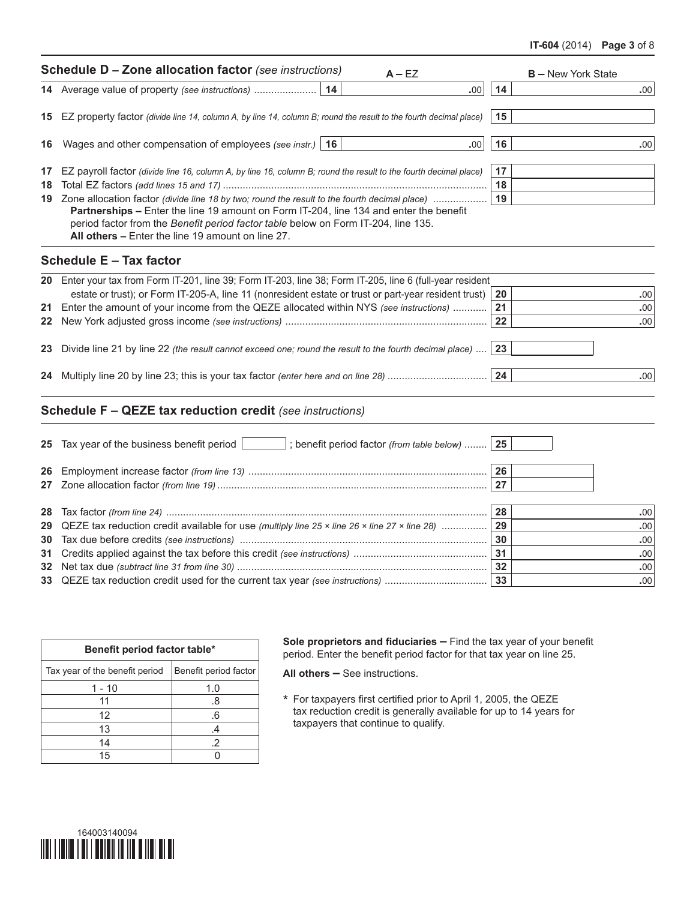#### **IT-604** (2014) **Page 3** of 8

|    | <b>Schedule D - Zone allocation factor</b> (see instructions)<br>$A - EZ$                                                                                                                                                                                                                                                            |          | <b>B</b> - New York State |
|----|--------------------------------------------------------------------------------------------------------------------------------------------------------------------------------------------------------------------------------------------------------------------------------------------------------------------------------------|----------|---------------------------|
|    | .00                                                                                                                                                                                                                                                                                                                                  | 14       | .00                       |
|    | 15 EZ property factor (divide line 14, column A, by line 14, column B; round the result to the fourth decimal place)                                                                                                                                                                                                                 | 15       |                           |
| 16 | Wages and other compensation of employees (see instr.)   16<br>.00                                                                                                                                                                                                                                                                   | 16       | .00                       |
| 18 | 17 EZ payroll factor (divide line 16, column A, by line 16, column B; round the result to the fourth decimal place)                                                                                                                                                                                                                  | 17<br>18 |                           |
|    | 19 Zone allocation factor (divide line 18 by two; round the result to the fourth decimal place)<br>Partnerships - Enter the line 19 amount on Form IT-204, line 134 and enter the benefit<br>period factor from the Benefit period factor table below on Form IT-204, line 135.<br>All others - Enter the line 19 amount on line 27. | 19       |                           |
|    | Schedule E - Tax factor                                                                                                                                                                                                                                                                                                              |          |                           |
|    | 20 Enter your tax from Form IT-201, line 39; Form IT-203, line 38; Form IT-205, line 6 (full-year resident                                                                                                                                                                                                                           |          |                           |
|    | estate or trust); or Form IT-205-A, line 11 (nonresident estate or trust or part-year resident trust)                                                                                                                                                                                                                                | 20       | .00.                      |
|    | 21 Enter the amount of your income from the QEZE allocated within NYS (see instructions)                                                                                                                                                                                                                                             | 21<br>22 | .00<br>.00                |
|    | 23 Divide line 21 by line 22 (the result cannot exceed one; round the result to the fourth decimal place)                                                                                                                                                                                                                            | 23       |                           |
|    |                                                                                                                                                                                                                                                                                                                                      | 24       | .00 <sub>1</sub>          |
|    | <b>Schedule F - QEZE tax reduction credit</b> (see instructions)                                                                                                                                                                                                                                                                     |          |                           |
|    | 25 Tax year of the business benefit period<br>; benefit period factor (from table below)  25                                                                                                                                                                                                                                         |          |                           |
|    |                                                                                                                                                                                                                                                                                                                                      | 26       |                           |
|    |                                                                                                                                                                                                                                                                                                                                      | 27       |                           |
|    |                                                                                                                                                                                                                                                                                                                                      | 28       | $.00 \times$              |
|    | 29 QEZE tax reduction credit available for use (multiply line 25 x line 26 x line 27 x line 28)                                                                                                                                                                                                                                      | 29       | .00                       |
|    |                                                                                                                                                                                                                                                                                                                                      | 30       | .00                       |
|    |                                                                                                                                                                                                                                                                                                                                      | 31       | .00                       |

| Benefit period factor table*   |                       |  |  |  |  |  |  |
|--------------------------------|-----------------------|--|--|--|--|--|--|
| Tax year of the benefit period | Benefit period factor |  |  |  |  |  |  |
| 1 - 10                         | 1.0                   |  |  |  |  |  |  |
| 11                             | .8                    |  |  |  |  |  |  |
| 12                             | .6                    |  |  |  |  |  |  |
| 13                             | .4                    |  |  |  |  |  |  |
| 14                             | .2                    |  |  |  |  |  |  |
| 15                             |                       |  |  |  |  |  |  |

**Sole proprietors and fiduciaries –** Find the tax year of your benefit period. Enter the benefit period factor for that tax year on line 25.

**All others –** See instructions.

 Net tax due *(subtract line 31 from line 30)* ........................................................................................ **32 .**00 QEZE tax reduction credit used for the current tax year *(see instructions)* .................................... **33 .**00

> \* For taxpayers first certified prior to April 1, 2005, the QEZE tax reduction credit is generally available for up to 14 years for taxpayers that continue to qualify.

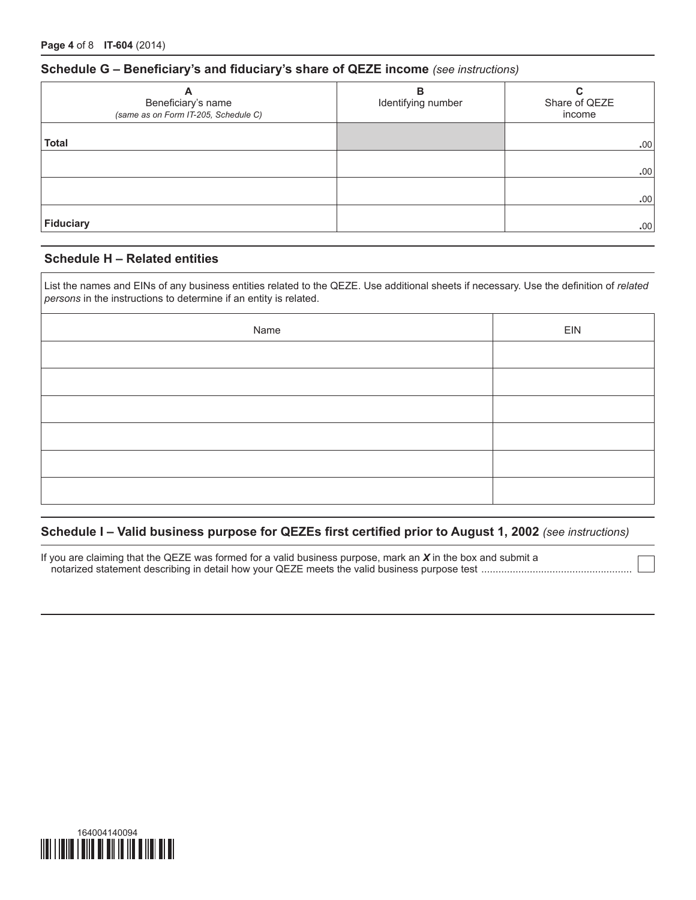### **Schedule G – Beneficiary's and fiduciary's share of QEZE income** *(see instructions)*

| A<br>Beneficiary's name<br>(same as on Form IT-205, Schedule C) | в<br>Identifying number | C<br>Share of QEZE<br>income |
|-----------------------------------------------------------------|-------------------------|------------------------------|
| <b>Total</b>                                                    |                         | .00                          |
|                                                                 |                         | .00                          |
| Fiduciary                                                       |                         | .00<br>.00                   |

### **Schedule H – Related entities**

List the names and EINs of any business entities related to the QEZE. Use additional sheets if necessary. Use the definition of *related persons* in the instructions to determine if an entity is related.

| Name | EIN |
|------|-----|
|      |     |
|      |     |
|      |     |
|      |     |
|      |     |
|      |     |

### **Schedule I – Valid business purpose for QEZEs first certified prior to August 1, 2002** *(see instructions)*

If you are claiming that the QEZE was formed for a valid business purpose, mark an *X* in the box and submit a notarized statement describing in detail how your QEZE meets the valid business purpose test .....................................................

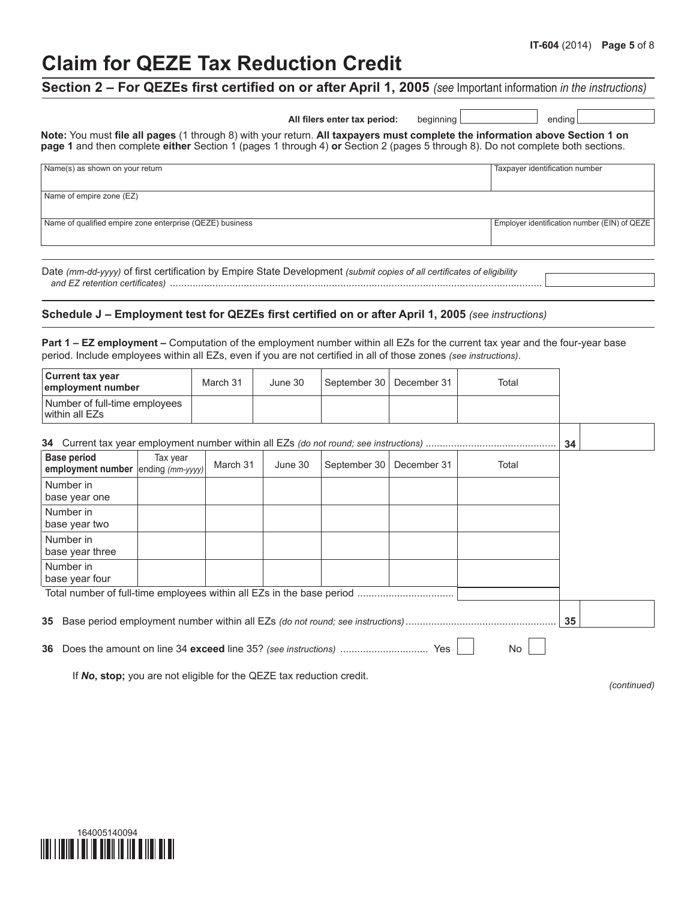# **Claim for QEZE Tax Reduction Credit**

# **Section 2 – For QEZEs first certified on or after April 1, 2005** *(see* Important information *in the instructions)*

|                                                                                                                                                     | All filers enter tax period: | beainnina l | endina l |
|-----------------------------------------------------------------------------------------------------------------------------------------------------|------------------------------|-------------|----------|
| Note: You must file all pages (1 through 8) with your return. All taxpayers must complete the information above Section 1 on                        |                              |             |          |
| <b>page 1</b> and then complete <b>either</b> Section 1 (pages 1 through 4) <b>or</b> Section 2 (pages 5 through 8). Do not complete both sections. |                              |             |          |

| Name(s) as shown on your return                          | Taxpayer identification number               |
|----------------------------------------------------------|----------------------------------------------|
| Name of empire zone (EZ)                                 |                                              |
| Name of qualified empire zone enterprise (QEZE) business | Employer identification number (EIN) of QEZE |

Date *(mm-dd-yyyy)* of first certification by Empire State Development *(submit copies of all certificates of eligibility and EZ retention certificates)* ...................................................................................................................................

### **Schedule J – Employment test for QEZEs first certified on or after April 1, 2005** *(see instructions)*

**Part 1 – EZ employment –** Computation of the employment number within all EZs for the current tax year and the four-year base period. Include employees within all EZs, even if you are not certified in all of those zones *(see instructions)*.

| <b>Current tax year</b><br>employment number             |          | March 31 | June 30 | September 30 | December 31 | Total |    |  |
|----------------------------------------------------------|----------|----------|---------|--------------|-------------|-------|----|--|
| Number of full-time employees<br>within all EZs          |          |          |         |              |             |       |    |  |
| 34                                                       |          |          |         |              |             |       |    |  |
| <b>Base period</b><br>employment number ending (mm-yyyy) | Tax year | March 31 | June 30 | September 30 | December 31 | Total |    |  |
| Number in<br>base year one                               |          |          |         |              |             |       |    |  |
| Number in<br>base year two                               |          |          |         |              |             |       |    |  |
| Number in<br>base year three                             |          |          |         |              |             |       |    |  |
| Number in<br>base year four                              |          |          |         |              |             |       |    |  |
|                                                          |          |          |         |              |             |       |    |  |
| 35                                                       |          |          |         |              |             |       | 35 |  |
| No.<br>Yes<br>36                                         |          |          |         |              |             |       |    |  |

If *No***, stop;** you are not eligible for the QEZE tax reduction credit.

*(continued)*

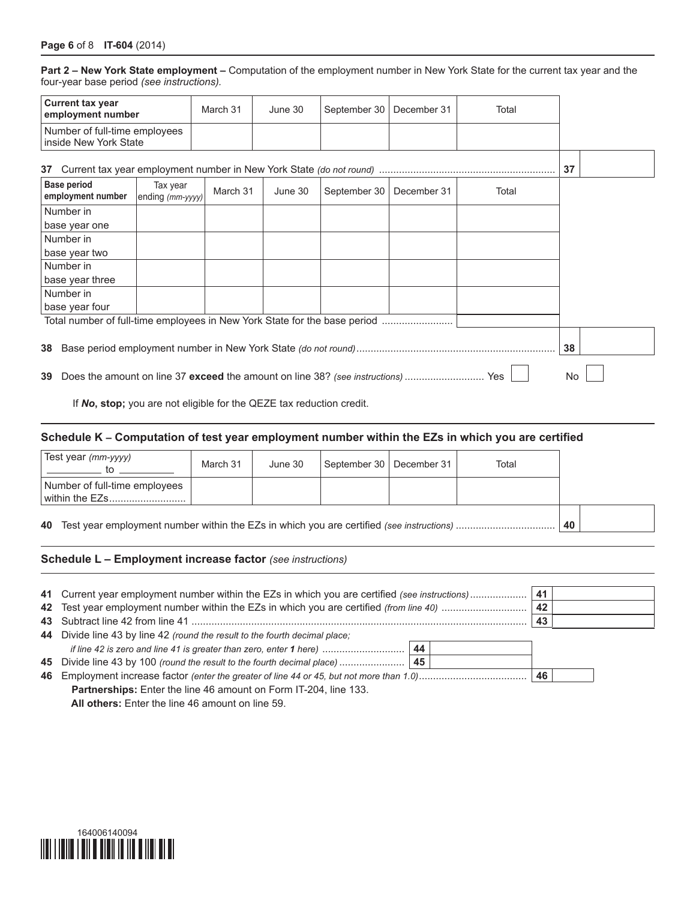**Part 2 – New York State employment –** Computation of the employment number in New York State for the current tax year and the four-year base period *(see instructions).*

| <b>Current tax year</b><br>employment number                                                    |                              | March 31 | June 30 | September 30 | December 31 | Total |  |  |
|-------------------------------------------------------------------------------------------------|------------------------------|----------|---------|--------------|-------------|-------|--|--|
| Number of full-time employees<br>inside New York State                                          |                              |          |         |              |             |       |  |  |
| 37                                                                                              |                              |          |         |              |             | 37    |  |  |
| <b>Base period</b><br>employment number                                                         | Tax year<br>ending (mm-yyyy) | March 31 | June 30 | September 30 | December 31 | Total |  |  |
| Number in                                                                                       |                              |          |         |              |             |       |  |  |
| base year one                                                                                   |                              |          |         |              |             |       |  |  |
| Number in                                                                                       |                              |          |         |              |             |       |  |  |
| base year two                                                                                   |                              |          |         |              |             |       |  |  |
| Number in                                                                                       |                              |          |         |              |             |       |  |  |
| base year three                                                                                 |                              |          |         |              |             |       |  |  |
| Number in                                                                                       |                              |          |         |              |             |       |  |  |
| base year four                                                                                  |                              |          |         |              |             |       |  |  |
| Total number of full-time employees in New York State for the base period                       |                              |          |         |              |             |       |  |  |
| 38<br>38                                                                                        |                              |          |         |              |             |       |  |  |
| Does the amount on line 37 exceed the amount on line 38? (see instructions)<br>No.<br>Yes<br>39 |                              |          |         |              |             |       |  |  |

If *No***, stop;** you are not eligible for the QEZE tax reduction credit.

### **Schedule K – Computation of test year employment number within the EZs in which you are certified**

| Test year (mm-yyyy)<br>to.                      | March 31 | June 30 | September 30   December 31 | Total |  |  |
|-------------------------------------------------|----------|---------|----------------------------|-------|--|--|
| Number of full-time employees<br>within the EZs |          |         |                            |       |  |  |
|                                                 | 40       |         |                            |       |  |  |

### **Schedule L – Employment increase factor** *(see instructions)*

| 41 Current year employment number within the EZs in which you are certified (see instructions) |    |  | 41 |  |  |
|------------------------------------------------------------------------------------------------|----|--|----|--|--|
|                                                                                                |    |  | 42 |  |  |
|                                                                                                |    |  | 43 |  |  |
| 44 Divide line 43 by line 42 (round the result to the fourth decimal place;                    |    |  |    |  |  |
| if line 42 is zero and line 41 is greater than zero, enter 1 here)                             | 44 |  |    |  |  |
|                                                                                                |    |  |    |  |  |
|                                                                                                |    |  | 46 |  |  |
| <b>Partnerships:</b> Enter the line 46 amount on Form IT-204, line 133.                        |    |  |    |  |  |
| All others: Enter the line 46 amount on line 59.                                               |    |  |    |  |  |

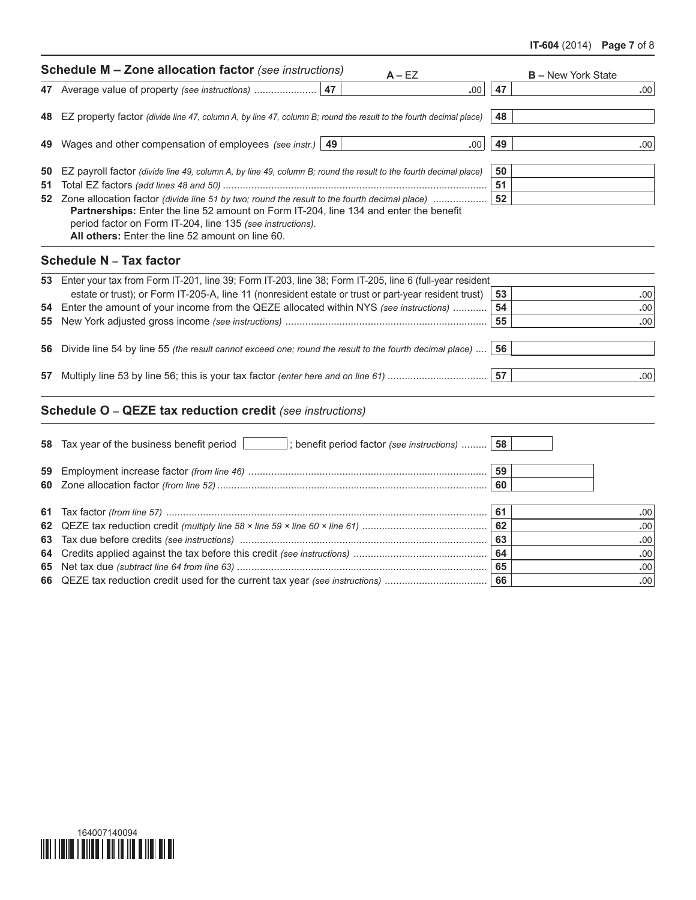### **IT-604** (2014) **Page 7** of 8

|    | <b>Schedule M - Zone allocation factor</b> (see instructions)<br>$A - EZ$                                                                                                                                                                                                                                                                                                     | <b>B</b> – New York State |
|----|-------------------------------------------------------------------------------------------------------------------------------------------------------------------------------------------------------------------------------------------------------------------------------------------------------------------------------------------------------------------------------|---------------------------|
|    | 47<br>47 Average value of property (see instructions)<br>.00                                                                                                                                                                                                                                                                                                                  | 47<br>.00                 |
| 48 | EZ property factor (divide line 47, column A, by line 47, column B; round the result to the fourth decimal place)                                                                                                                                                                                                                                                             | 48                        |
|    | 49 Wages and other compensation of employees (see instr.)   49<br>.00.                                                                                                                                                                                                                                                                                                        | 49<br>.00                 |
| 51 | 50 EZ payroll factor (divide line 49, column A, by line 49, column B; round the result to the fourth decimal place)<br>52 Zone allocation factor (divide line 51 by two; round the result to the fourth decimal place)<br>Partnerships: Enter the line 52 amount on Form IT-204, line 134 and enter the benefit<br>period factor on Form IT-204, line 135 (see instructions). | 50<br>51<br>52            |
|    | All others: Enter the line 52 amount on line 60.<br><b>Schedule N - Tax factor</b>                                                                                                                                                                                                                                                                                            |                           |
|    |                                                                                                                                                                                                                                                                                                                                                                               |                           |
|    | 53 Enter your tax from Form IT-201, line 39; Form IT-203, line 38; Form IT-205, line 6 (full-year resident                                                                                                                                                                                                                                                                    |                           |
|    | estate or trust); or Form IT-205-A, line 11 (nonresident estate or trust or part-year resident trust)<br>54 Enter the amount of your income from the QEZE allocated within NYS (see instructions)                                                                                                                                                                             | 53<br>.00<br>54<br>.00    |
| 55 |                                                                                                                                                                                                                                                                                                                                                                               | 55<br>.00                 |
| 56 | Divide line 54 by line 55 (the result cannot exceed one; round the result to the fourth decimal place)                                                                                                                                                                                                                                                                        | 56                        |
| 57 | Multiply line 53 by line 56; this is your tax factor (enter here and on line 61)                                                                                                                                                                                                                                                                                              | 57<br>.00                 |
|    | <b>Schedule O - QEZE tax reduction credit</b> (see instructions)                                                                                                                                                                                                                                                                                                              |                           |
|    |                                                                                                                                                                                                                                                                                                                                                                               |                           |
| 59 |                                                                                                                                                                                                                                                                                                                                                                               | 59                        |
|    |                                                                                                                                                                                                                                                                                                                                                                               | 60                        |
|    |                                                                                                                                                                                                                                                                                                                                                                               | 61<br>.00.                |
|    |                                                                                                                                                                                                                                                                                                                                                                               | 62<br>.00                 |
|    |                                                                                                                                                                                                                                                                                                                                                                               | 63<br>.00.                |

## Tax due before credits *(see instructions)* ....................................................................................... **63 .**00 Credits applied against the tax before this credit *(see instructions)* ............................................... **64 .**00 Net tax due *(subtract line 64 from line 63)* ........................................................................................ **65 .**00

QEZE tax reduction credit used for the current tax year *(see instructions)* .................................... **66 .**00